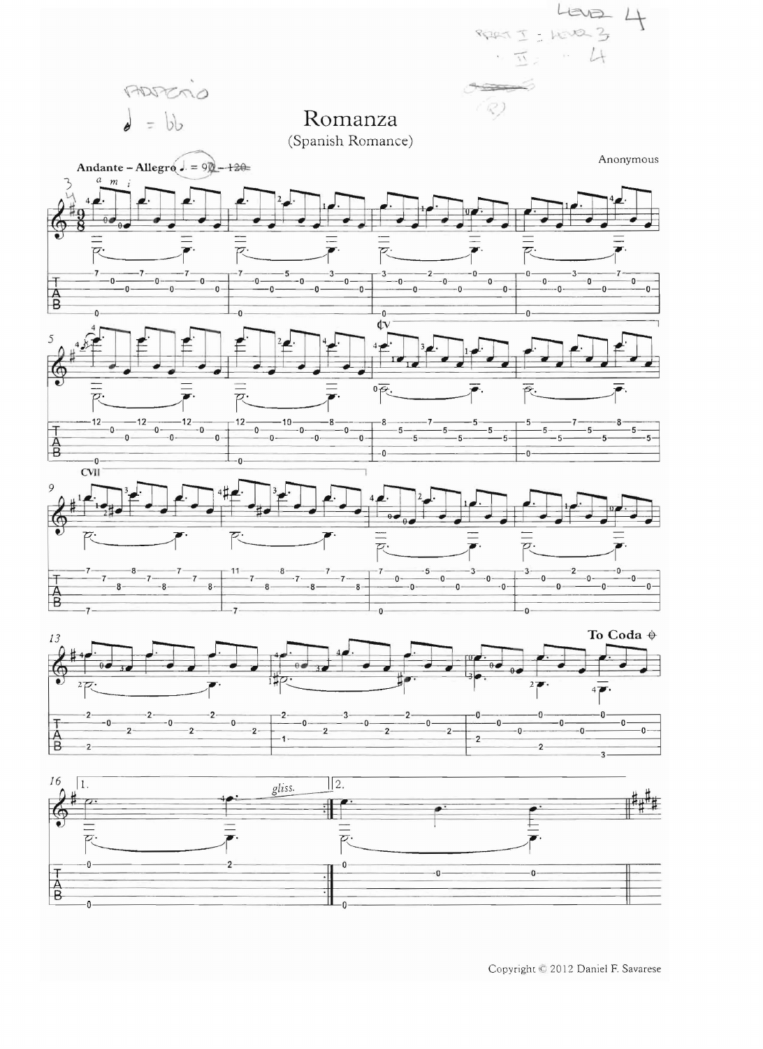

Copyright © 2012 Daniel F. Savarese